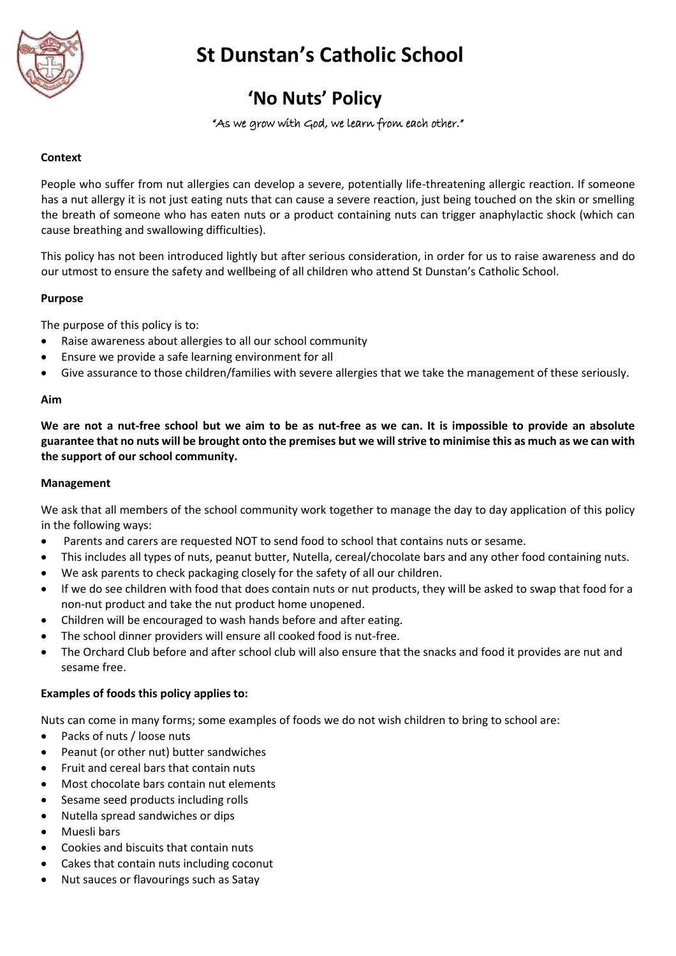

# **St Dunstan's Catholic School**

# **'No Nuts' Policy**

# "As we grow with God, we learn from each other."

# **Context**

People who suffer from nut allergies can develop a severe, potentially life-threatening allergic reaction. If someone has a nut allergy it is not just eating nuts that can cause a severe reaction, just being touched on the skin or smelling the breath of someone who has eaten nuts or a product containing nuts can trigger anaphylactic shock (which can cause breathing and swallowing difficulties).

This policy has not been introduced lightly but after serious consideration, in order for us to raise awareness and do our utmost to ensure the safety and wellbeing of all children who attend St Dunstan's Catholic School.

### **Purpose**

The purpose of this policy is to:

- Raise awareness about allergies to all our school community
- Ensure we provide a safe learning environment for all
- Give assurance to those children/families with severe allergies that we take the management of these seriously.

#### **Aim**

**We are not a nut-free school but we aim to be as nut-free as we can. It is impossible to provide an absolute guarantee that no nuts will be brought onto the premises but we will strive to minimise this as much as we can with the support of our school community.** 

#### **Management**

We ask that all members of the school community work together to manage the day to day application of this policy in the following ways:

- Parents and carers are requested NOT to send food to school that contains nuts or sesame.
- This includes all types of nuts, peanut butter, Nutella, cereal/chocolate bars and any other food containing nuts.
- We ask parents to check packaging closely for the safety of all our children.
- If we do see children with food that does contain nuts or nut products, they will be asked to swap that food for a non-nut product and take the nut product home unopened.
- Children will be encouraged to wash hands before and after eating.
- The school dinner providers will ensure all cooked food is nut-free.
- The Orchard Club before and after school club will also ensure that the snacks and food it provides are nut and sesame free.

#### **Examples of foods this policy applies to:**

Nuts can come in many forms; some examples of foods we do not wish children to bring to school are:

- Packs of nuts / loose nuts
- Peanut (or other nut) butter sandwiches
- Fruit and cereal bars that contain nuts
- Most chocolate bars contain nut elements
- Sesame seed products including rolls
- Nutella spread sandwiches or dips
- Muesli bars
- Cookies and biscuits that contain nuts
- Cakes that contain nuts including coconut
- Nut sauces or flavourings such as Satay